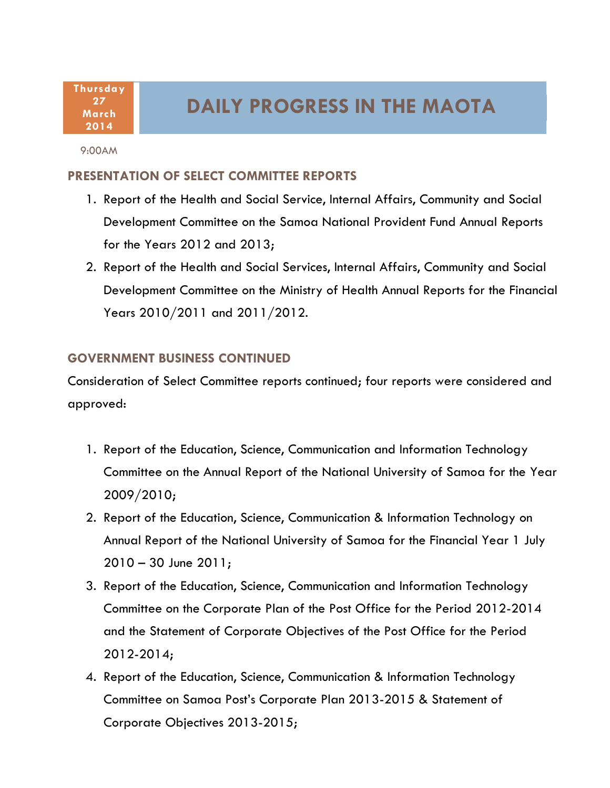**Thursday 27 March 2014**

## **DAILY PROGRESS IN THE MAOTA**

9:00AM

## **PRESENTATION OF SELECT COMMITTEE REPORTS**

- 1. Report of the Health and Social Service, Internal Affairs, Community and Social Development Committee on the Samoa National Provident Fund Annual Reports for the Years 2012 and 2013;
- 2. Report of the Health and Social Services, Internal Affairs, Community and Social Development Committee on the Ministry of Health Annual Reports for the Financial Years 2010/2011 and 2011/2012.

## **GOVERNMENT BUSINESS CONTINUED**

Consideration of Select Committee reports continued; four reports were considered and approved:

- 1. Report of the Education, Science, Communication and Information Technology Committee on the Annual Report of the National University of Samoa for the Year 2009/2010;
- 2. Report of the Education, Science, Communication & Information Technology on Annual Report of the National University of Samoa for the Financial Year 1 July 2010 – 30 June 2011;
- 3. Report of the Education, Science, Communication and Information Technology Committee on the Corporate Plan of the Post Office for the Period 2012-2014 and the Statement of Corporate Objectives of the Post Office for the Period 2012-2014;
- 4. Report of the Education, Science, Communication & Information Technology Committee on Samoa Post's Corporate Plan 2013-2015 & Statement of Corporate Objectives 2013-2015;